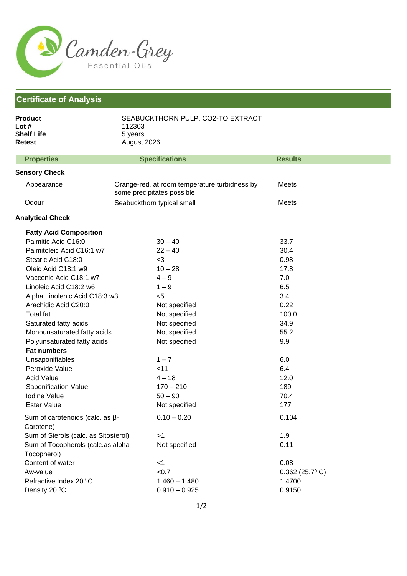

## **Certificate of Analysis**

| <b>Product</b><br>Lot $#$<br><b>Shelf Life</b><br>Retest | SEABUCKTHORN PULP, CO2-TO EXTRACT<br>112303<br>5 years<br>August 2026       |                            |  |
|----------------------------------------------------------|-----------------------------------------------------------------------------|----------------------------|--|
| <b>Properties</b>                                        | <b>Specifications</b>                                                       | <b>Results</b>             |  |
| <b>Sensory Check</b>                                     |                                                                             |                            |  |
| Appearance                                               | Orange-red, at room temperature turbidness by<br>some precipitates possible | Meets                      |  |
| Odour                                                    | Seabuckthorn typical smell                                                  | Meets                      |  |
| <b>Analytical Check</b>                                  |                                                                             |                            |  |
| <b>Fatty Acid Composition</b>                            |                                                                             |                            |  |
| Palmitic Acid C16:0                                      | $30 - 40$                                                                   | 33.7                       |  |
| Palmitoleic Acid C16:1 w7                                | $22 - 40$                                                                   | 30.4                       |  |
| Stearic Acid C18:0                                       | $<$ 3                                                                       | 0.98                       |  |
| Oleic Acid C18:1 w9                                      | $10 - 28$                                                                   | 17.8                       |  |
| Vaccenic Acid C18:1 w7                                   | $4 - 9$                                                                     | 7.0                        |  |
| Linoleic Acid C18:2 w6                                   | $1 - 9$                                                                     | 6.5                        |  |
| Alpha Linolenic Acid C18:3 w3                            | $5$                                                                         | 3.4                        |  |
| Arachidic Acid C20:0                                     | Not specified                                                               | 0.22                       |  |
| <b>Total fat</b>                                         | Not specified                                                               | 100.0                      |  |
| Saturated fatty acids                                    | Not specified                                                               | 34.9                       |  |
| Monounsaturated fatty acids                              | Not specified                                                               | 55.2                       |  |
| Polyunsaturated fatty acids                              | Not specified                                                               | 9.9                        |  |
| <b>Fat numbers</b>                                       |                                                                             |                            |  |
| Unsaponifiables                                          | $1 - 7$                                                                     | 6.0                        |  |
| Peroxide Value                                           | $<$ 11                                                                      | 6.4                        |  |
| <b>Acid Value</b>                                        | $4 - 18$                                                                    | 12.0                       |  |
| Saponification Value                                     | $170 - 210$                                                                 | 189                        |  |
| Iodine Value                                             | $50 - 90$                                                                   | 70.4                       |  |
| <b>Ester Value</b>                                       | Not specified                                                               | 177                        |  |
| Sum of carotenoids (calc. as $\beta$ -<br>Carotene)      | $0.10 - 0.20$                                                               | 0.104                      |  |
| Sum of Sterols (calc. as Sitosterol)                     | >1                                                                          | 1.9                        |  |
| Sum of Tocopherols (calc.as alpha<br>Tocopherol)         | Not specified                                                               | 0.11                       |  |
| Content of water                                         | $<$ 1                                                                       | 0.08                       |  |
| Aw-value                                                 | < 0.7                                                                       | $0.362$ (25.7 $\degree$ C) |  |
| Refractive Index 20 °C                                   | $1.460 - 1.480$                                                             | 1.4700                     |  |
| Density 20 °C                                            | $0.910 - 0.925$                                                             | 0.9150                     |  |
|                                                          |                                                                             |                            |  |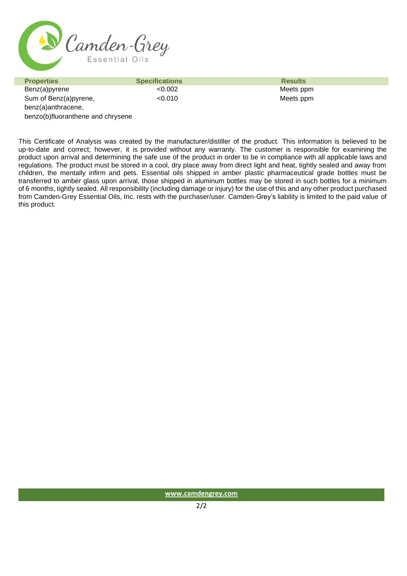

| <b>Properties</b>                 | <b>Specifications</b> | <b>Results</b> |
|-----------------------------------|-----------------------|----------------|
| Benz(a)pyrene                     | < 0.002               | Meets ppm      |
| Sum of Benz(a)pyrene,             | < 0.010               | Meets ppm      |
| benz(a)anthracene,                |                       |                |
| benzo(b)fluoranthene and chrysene |                       |                |

This Certificate of Analysis was created by the manufacturer/distiller of the product. This information is believed to be up-to-date and correct; however, it is provided without any warranty. The customer is responsible for examining the product upon arrival and determining the safe use of the product in order to be in compliance with all applicable laws and regulations. The product must be stored in a cool, dry place away from direct light and heat, tightly sealed and away from children, the mentally infirm and pets. Essential oils shipped in amber plastic pharmaceutical grade bottles must be transferred to amber glass upon arrival, those shipped in aluminum bottles may be stored in such bottles for a minimum of 6 months, tightly sealed. All responsibility (including damage or injury) for the use of this and any other product purchased from Camden-Grey Essential Oils, Inc. rests with the purchaser/user. Camden-Grey's liability is limited to the paid value of this product.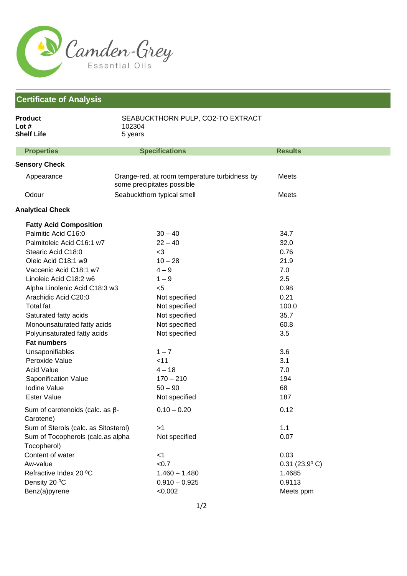

## **Certificate of Analysis**

| <b>Product</b><br>Lot $#$<br><b>Shelf Life</b>      | SEABUCKTHORN PULP, CO2-TO EXTRACT<br>102304<br>5 years                      |                            |
|-----------------------------------------------------|-----------------------------------------------------------------------------|----------------------------|
| <b>Properties</b>                                   | <b>Specifications</b>                                                       | <b>Results</b>             |
| <b>Sensory Check</b>                                |                                                                             |                            |
| Appearance                                          | Orange-red, at room temperature turbidness by<br>some precipitates possible | Meets                      |
| Odour                                               | Seabuckthorn typical smell                                                  | Meets                      |
| <b>Analytical Check</b>                             |                                                                             |                            |
| <b>Fatty Acid Composition</b>                       |                                                                             |                            |
| Palmitic Acid C16:0                                 | $30 - 40$                                                                   | 34.7                       |
| Palmitoleic Acid C16:1 w7                           | $22 - 40$                                                                   | 32.0                       |
| Stearic Acid C18:0                                  | $3$                                                                         | 0.76                       |
| Oleic Acid C18:1 w9                                 | $10 - 28$                                                                   | 21.9                       |
| Vaccenic Acid C18:1 w7                              | $4 - 9$                                                                     | 7.0                        |
| Linoleic Acid C18:2 w6                              | $1 - 9$                                                                     | 2.5                        |
| Alpha Linolenic Acid C18:3 w3                       | $<$ 5                                                                       | 0.98                       |
| Arachidic Acid C20:0                                | Not specified                                                               | 0.21                       |
| <b>Total fat</b>                                    | Not specified                                                               | 100.0                      |
| Saturated fatty acids                               | Not specified                                                               | 35.7                       |
| Monounsaturated fatty acids                         | Not specified                                                               | 60.8                       |
| Polyunsaturated fatty acids                         | Not specified                                                               | 3.5                        |
| <b>Fat numbers</b>                                  |                                                                             |                            |
| Unsaponifiables                                     | $1 - 7$                                                                     | 3.6                        |
| Peroxide Value                                      | < 11                                                                        | 3.1                        |
| <b>Acid Value</b>                                   | $4 - 18$                                                                    | 7.0                        |
| Saponification Value                                | $170 - 210$                                                                 | 194                        |
| <b>Iodine Value</b>                                 | $50 - 90$                                                                   | 68                         |
| <b>Ester Value</b>                                  | Not specified                                                               | 187                        |
| Sum of carotenoids (calc. as $\beta$ -<br>Carotene) | $0.10 - 0.20$                                                               | 0.12                       |
| Sum of Sterols (calc. as Sitosterol)                | >1                                                                          | 1.1                        |
| Sum of Tocopherols (calc.as alpha<br>Tocopherol)    | Not specified                                                               | 0.07                       |
| Content of water                                    | $<$ 1                                                                       | 0.03                       |
| Aw-value                                            | < 0.7                                                                       | $0.31$ (23.9 $^{\circ}$ C) |
| Refractive Index 20 °C                              | $1.460 - 1.480$                                                             | 1.4685                     |
| Density 20 °C                                       | $0.910 - 0.925$                                                             | 0.9113                     |
| Benz(a)pyrene                                       | < 0.002                                                                     | Meets ppm                  |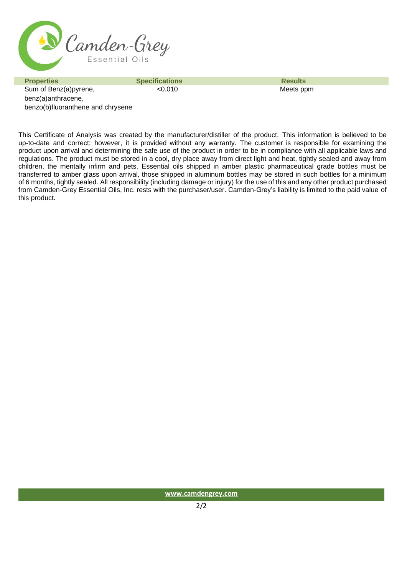

**Properties Specifications Specifications Results** Sum of Benz(a)pyrene, benz(a)anthracene, benzo(b)fluoranthene and chrysene

<0.010 Meets ppm

This Certificate of Analysis was created by the manufacturer/distiller of the product. This information is believed to be up-to-date and correct; however, it is provided without any warranty. The customer is responsible for examining the product upon arrival and determining the safe use of the product in order to be in compliance with all applicable laws and regulations. The product must be stored in a cool, dry place away from direct light and heat, tightly sealed and away from children, the mentally infirm and pets. Essential oils shipped in amber plastic pharmaceutical grade bottles must be transferred to amber glass upon arrival, those shipped in aluminum bottles may be stored in such bottles for a minimum of 6 months, tightly sealed. All responsibility (including damage or injury) for the use of this and any other product purchased from Camden-Grey Essential Oils, Inc. rests with the purchaser/user. Camden-Grey's liability is limited to the paid value of this product.

**[www.camdengrey.com](http://www.camdengrey.com/)**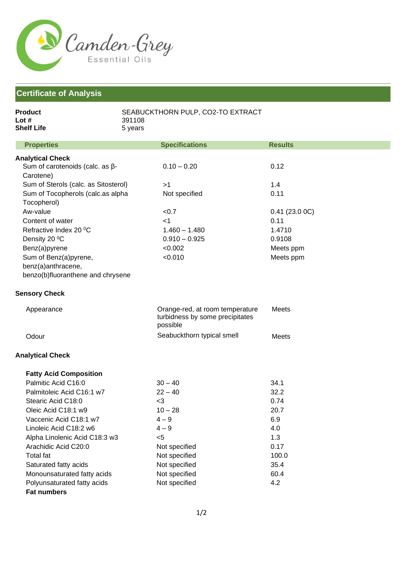

## **Certificate of Analysis**

| Product           | SEABUCKTHORN PULP, CO2-TO EXTRACT |
|-------------------|-----------------------------------|
| Lot $#$           | 391108                            |
| <b>Shelf Life</b> | 5 vears                           |

| <b>Properties</b>                      | <b>Specifications</b>                                                          | <b>Results</b> |
|----------------------------------------|--------------------------------------------------------------------------------|----------------|
| <b>Analytical Check</b>                |                                                                                |                |
| Sum of carotenoids (calc. as $\beta$ - | $0.10 - 0.20$                                                                  | 0.12           |
| Carotene)                              |                                                                                |                |
| Sum of Sterols (calc. as Sitosterol)   | >1                                                                             | 1.4            |
| Sum of Tocopherols (calc.as alpha      | Not specified                                                                  | 0.11           |
| Tocopherol)                            |                                                                                |                |
| Aw-value                               | < 0.7                                                                          | 0.41(23.00C)   |
| Content of water                       | $<$ 1                                                                          | 0.11           |
| Refractive Index 20 °C                 | $1.460 - 1.480$                                                                | 1.4710         |
| Density 20 °C                          | $0.910 - 0.925$                                                                | 0.9108         |
| Benz(a)pyrene                          | < 0.002                                                                        | Meets ppm      |
| Sum of Benz(a)pyrene,                  | < 0.010                                                                        | Meets ppm      |
| benz(a)anthracene,                     |                                                                                |                |
| benzo(b)fluoranthene and chrysene      |                                                                                |                |
| <b>Sensory Check</b>                   |                                                                                |                |
| Appearance                             | Orange-red, at room temperature<br>turbidness by some precipitates<br>possible | <b>Meets</b>   |
| Odour                                  | Seabuckthorn typical smell                                                     | Meets          |
| <b>Analytical Check</b>                |                                                                                |                |
| <b>Fatty Acid Composition</b>          |                                                                                |                |
| Palmitic Acid C16:0                    | $30 - 40$                                                                      | 34.1           |
| Palmitoleic Acid C16:1 w7              | $22 - 40$                                                                      | 32.2           |
| Stearic Acid C18:0                     | $<$ 3                                                                          | 0.74           |
| Oleic Acid C18:1 w9                    | $10 - 28$                                                                      | 20.7           |
| Vaccenic Acid C18:1 w7                 | $4 - 9$                                                                        | 6.9            |
| Linoleic Acid C18:2 w6                 | $4 - 9$                                                                        | 4.0            |
| Alpha Linolenic Acid C18:3 w3          | $5$                                                                            | 1.3            |
| Arachidic Acid C20:0                   | Not specified                                                                  | 0.17           |
| <b>Total fat</b>                       | Not specified                                                                  | 100.0          |
| Saturated fatty acids                  | Not specified                                                                  | 35.4           |
| Monounsaturated fatty acids            | Not specified                                                                  | 60.4           |
| Polyunsaturated fatty acids            | Not specified                                                                  | 4.2            |

**Fat numbers**